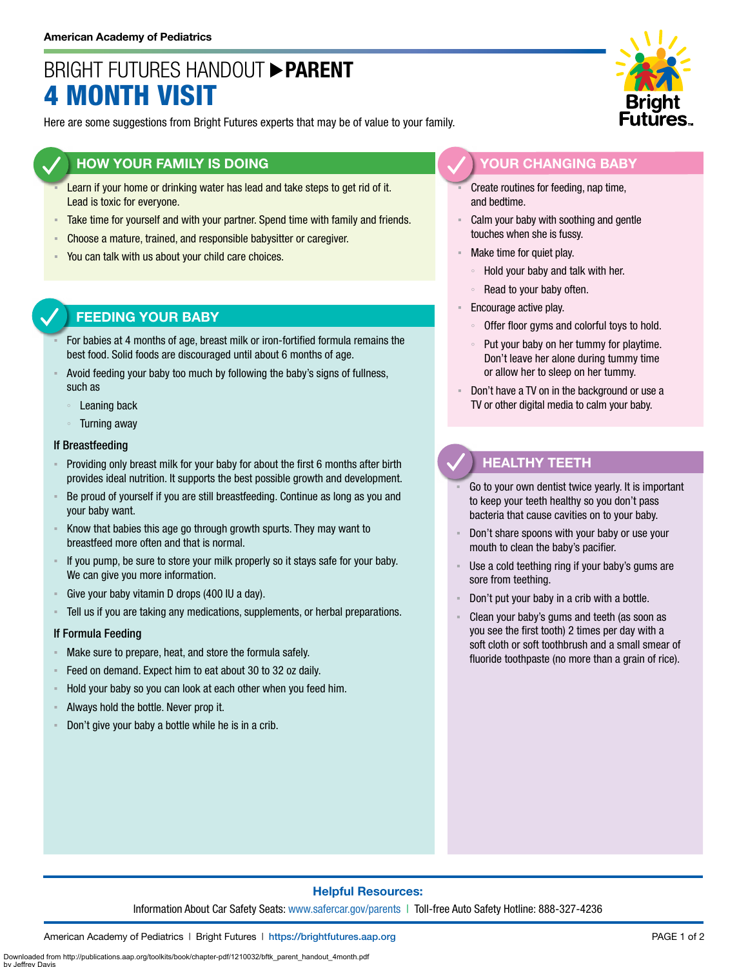# BRIGHT FUTURES HANDOUT **PARENT** 4 MONTH VISIT

Here are some suggestions from Bright Futures experts that may be of value to your family.

## **HOW YOUR FAMILY IS DOING**

- Learn if your home or drinking water has lead and take steps to get rid of it. Lead is toxic for everyone.
- **EXEL Take time for yourself and with your partner. Spend time with family and friends.**
- Choose a mature, trained, and responsible babysitter or caregiver.
- You can talk with us about your child care choices.

# **FEEDING YOUR BABY**

- For babies at 4 months of age, breast milk or iron-fortified formula remains the best food. Solid foods are discouraged until about 6 months of age.
- Avoid feeding your baby too much by following the baby's signs of fullness, such as
	- Leaning back
	- Turning away

#### If Breastfeeding

- Providing only breast milk for your baby for about the first 6 months after birth provides ideal nutrition. It supports the best possible growth and development.
- Be proud of yourself if you are still breastfeeding. Continue as long as you and your baby want.
- Know that babies this age go through growth spurts. They may want to breastfeed more often and that is normal.
- If you pump, be sure to store your milk properly so it stays safe for your baby. We can give you more information.
- Give your baby vitamin D drops (400 IU a day).
- Tell us if you are taking any medications, supplements, or herbal preparations.

### If Formula Feeding

- Make sure to prepare, heat, and store the formula safely.
- Feed on demand. Expect him to eat about 30 to 32 oz daily.
- Hold your baby so you can look at each other when you feed him.
- Always hold the bottle. Never prop it.
- Don't give your baby a bottle while he is in a crib.



## **YOUR CHANGING BABY**

Create routines for feeding, nap time, and bedtime.

- Calm your baby with soothing and gentle touches when she is fussy.
- Make time for quiet play.
	- Hold your baby and talk with her.
	- Read to your baby often.
- **Encourage active play.** 
	- Offer floor gyms and colorful toys to hold.
	- Put your baby on her tummy for playtime. Don't leave her alone during tummy time or allow her to sleep on her tummy.
- Don't have a TV on in the background or use a TV or other digital media to calm your baby.

# **HEALTHY TEETH**

- Go to your own dentist twice yearly. It is important to keep your teeth healthy so you don't pass bacteria that cause cavities on to your baby.
- Don't share spoons with your baby or use your mouth to clean the baby's pacifier.
- Use a cold teething ring if your baby's gums are sore from teething.
- Don't put your baby in a crib with a bottle.
- Clean your baby's gums and teeth (as soon as you see the first tooth) 2 times per day with a soft cloth or soft toothbrush and a small smear of fluoride toothpaste (no more than a grain of rice).

### **Helpful Resources:**

Information About Car Safety Seats: [www.safercar.gov/parents](https://www.nhtsa.gov/parents-and-caregivers) | Toll-free Auto Safety Hotline: 888-327-4236

American Academy of Pediatrics | Bright Futures | https:/[/brightfutures.aap.org](https://brightfutures.aap.org/Pages/default.aspx) PAGE 1 of 2